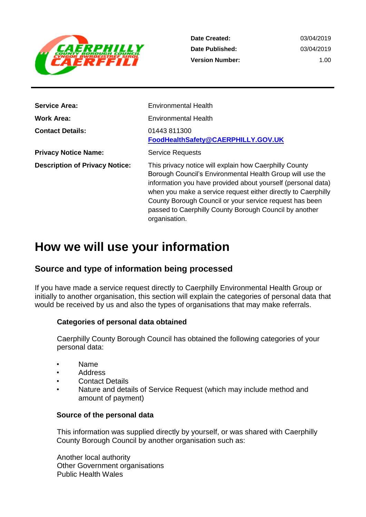

**Date Created: Date Published: Version Number:** 03/04/2019 03/04/2019 1.00

| <b>Service Area:</b>                  | <b>Environmental Health</b>                                                                                                                                                                                                                                                                                                                                                                |
|---------------------------------------|--------------------------------------------------------------------------------------------------------------------------------------------------------------------------------------------------------------------------------------------------------------------------------------------------------------------------------------------------------------------------------------------|
| <b>Work Area:</b>                     | <b>Environmental Health</b>                                                                                                                                                                                                                                                                                                                                                                |
| <b>Contact Details:</b>               | 01443 811300<br>FoodHealthSafety@CAERPHILLY.GOV.UK                                                                                                                                                                                                                                                                                                                                         |
| <b>Privacy Notice Name:</b>           | <b>Service Requests</b>                                                                                                                                                                                                                                                                                                                                                                    |
| <b>Description of Privacy Notice:</b> | This privacy notice will explain how Caerphilly County<br>Borough Council's Environmental Health Group will use the<br>information you have provided about yourself (personal data)<br>when you make a service request either directly to Caerphilly<br>County Borough Council or your service request has been<br>passed to Caerphilly County Borough Council by another<br>organisation. |

# **How we will use your information**

# **Source and type of information being processed**

If you have made a service request directly to Caerphilly Environmental Health Group or initially to another organisation, this section will explain the categories of personal data that would be received by us and also the types of organisations that may make referrals.

### **Categories of personal data obtained**

Caerphilly County Borough Council has obtained the following categories of your personal data:

- Name
- Address
- **Contact Details**
- Nature and details of Service Request (which may include method and amount of payment)

#### **Source of the personal data**

This information was supplied directly by yourself, or was shared with Caerphilly County Borough Council by another organisation such as:

Another local authority Other Government organisations Public Health Wales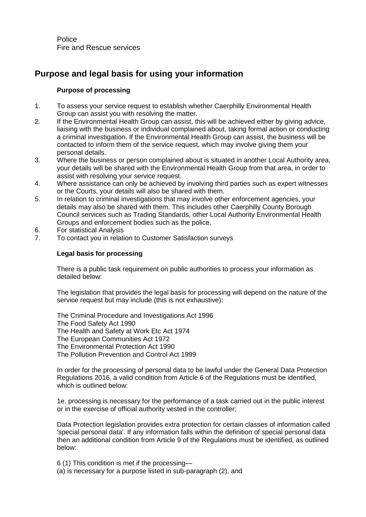Police Fire and Rescue services

# **Purpose and legal basis for using your information**

#### **Purpose of processing**

- 1. To assess your service request to establish whether Caerphilly Environmental Health Group can assist you with resolving the matter.
- 2. If the Environmental Health Group can assist, this will be achieved either by giving advice, liaising with the business or individual complained about, taking formal action or conducting a criminal investigation. If the Environmental Health Group can assist, the business will be contacted to inform them of the service request, which may involve giving them your personal details.
- 3. Where the business or person complained about is situated in another Local Authority area, your details will be shared with the Environmental Health Group from that area, in order to assist with resolving your service request.
- 4. Where assistance can only be achieved by involving third parties such as expert witnesses or the Courts, your details will also be shared with them.
- 5. In relation to criminal investigations that may involve other enforcement agencies, your details may also be shared with them. This includes other Caerphilly County Borough Council services such as Trading Standards, other Local Authority Environmental Health Groups and enforcement bodies such as the police.
- 6. For statistical Analysis
- 7. To contact you in relation to Customer Satisfaction surveys

#### **Legal basis for processing**

There is a public task requirement on public authorities to process your information as detailed below:

The legislation that provides the legal basis for processing will depend on the nature of the service request but may include (this is not exhaustive):

The Criminal Procedure and Investigations Act 1996 The Food Safety Act 1990 The Health and Safety at Work Etc Act 1974 The European Communities Act 1972 The Environmental Protection Act 1990 The Pollution Prevention and Control Act 1999

In order for the processing of personal data to be lawful under the General Data Protection Regulations 2016, a valid condition from Article 6 of the Regulations must be identified, which is outlined below:

1e. processing is necessary for the performance of a task carried out in the public interest or in the exercise of official authority vested in the controller;

Data Protection legislation provides extra protection for certain classes of information called 'special personal data'. If any information falls within the definition of special personal data then an additional condition from Article 9 of the Regulations must be identified, as outlined below:

6 (1) This condition is met if the processing— (a) is necessary for a purpose listed in sub-paragraph (2), and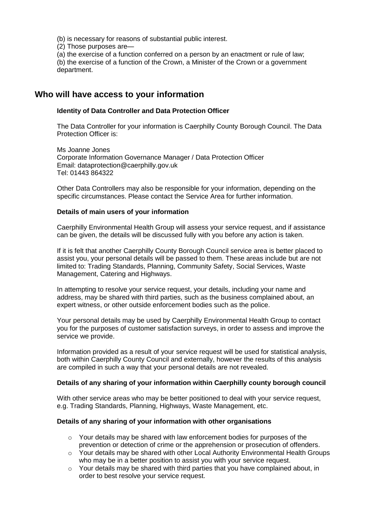(b) is necessary for reasons of substantial public interest.

(2) Those purposes are—

(a) the exercise of a function conferred on a person by an enactment or rule of law;

(b) the exercise of a function of the Crown, a Minister of the Crown or a government department.

## **Who will have access to your information**

#### **Identity of Data Controller and Data Protection Officer**

The Data Controller for your information is Caerphilly County Borough Council. The Data Protection Officer is:

Ms Joanne Jones Corporate Information Governance Manager / Data Protection Officer Email: dataprotection@caerphilly.gov.uk Tel: 01443 864322

Other Data Controllers may also be responsible for your information, depending on the specific circumstances. Please contact the Service Area for further information.

#### **Details of main users of your information**

Caerphilly Environmental Health Group will assess your service request, and if assistance can be given, the details will be discussed fully with you before any action is taken.

If it is felt that another Caerphilly County Borough Council service area is better placed to assist you, your personal details will be passed to them. These areas include but are not limited to: Trading Standards, Planning, Community Safety, Social Services, Waste Management, Catering and Highways.

In attempting to resolve your service request, your details, including your name and address, may be shared with third parties, such as the business complained about, an expert witness, or other outside enforcement bodies such as the police.

Your personal details may be used by Caerphilly Environmental Health Group to contact you for the purposes of customer satisfaction surveys, in order to assess and improve the service we provide.

Information provided as a result of your service request will be used for statistical analysis, both within Caerphilly County Council and externally, however the results of this analysis are compiled in such a way that your personal details are not revealed.

#### **Details of any sharing of your information within Caerphilly county borough council**

With other service areas who may be better positioned to deal with your service request, e.g. Trading Standards, Planning, Highways, Waste Management, etc.

#### **Details of any sharing of your information with other organisations**

- $\circ$  Your details may be shared with law enforcement bodies for purposes of the prevention or detection of crime or the apprehension or prosecution of offenders.
- $\circ$  Your details may be shared with other Local Authority Environmental Health Groups who may be in a better position to assist you with your service request.
- o Your details may be shared with third parties that you have complained about, in order to best resolve your service request.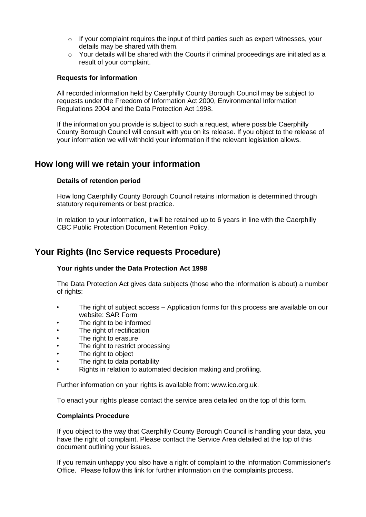- $\circ$  If your complaint requires the input of third parties such as expert witnesses, your details may be shared with them.
- $\circ$  Your details will be shared with the Courts if criminal proceedings are initiated as a result of your complaint.

#### **Requests for information**

All recorded information held by Caerphilly County Borough Council may be subject to requests under the Freedom of Information Act 2000, Environmental Information Regulations 2004 and the Data Protection Act 1998.

If the information you provide is subject to such a request, where possible Caerphilly County Borough Council will consult with you on its release. If you object to the release of your information we will withhold your information if the relevant legislation allows.

### **How long will we retain your information**

#### **Details of retention period**

How long Caerphilly County Borough Council retains information is determined through statutory requirements or best practice.

In relation to your information, it will be retained up to 6 years in line with the Caerphilly CBC Public Protection Document Retention Policy.

### **Your Rights (Inc Service requests Procedure)**

#### **Your rights under the Data Protection Act 1998**

The Data Protection Act gives data subjects (those who the information is about) a number of rights:

- The right of subject access Application forms for this process are available on our website: SAR Form
- The right to be informed
- The right of rectification
- The right to erasure
- The right to restrict processing
- The right to object
- The right to data portability
- Rights in relation to automated decision making and profiling.

Further information on your rights is available from: www.ico.org.uk.

To enact your rights please contact the service area detailed on the top of this form.

#### **Complaints Procedure**

If you object to the way that Caerphilly County Borough Council is handling your data, you have the right of complaint. Please contact the Service Area detailed at the top of this document outlining your issues.

If you remain unhappy you also have a right of complaint to the Information Commissioner's Office. Please follow this link for further information on the complaints process.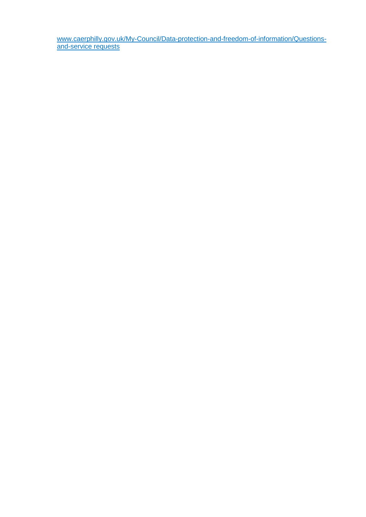[www.caerphilly.gov.uk/My-Council/Data-protection-and-freedom-of-information/Questions](http://www.caerphilly.gov.uk/My-Council/Data-protection-and-freedom-of-information/Questions-and-complaints)[and-service requests](http://www.caerphilly.gov.uk/My-Council/Data-protection-and-freedom-of-information/Questions-and-complaints)